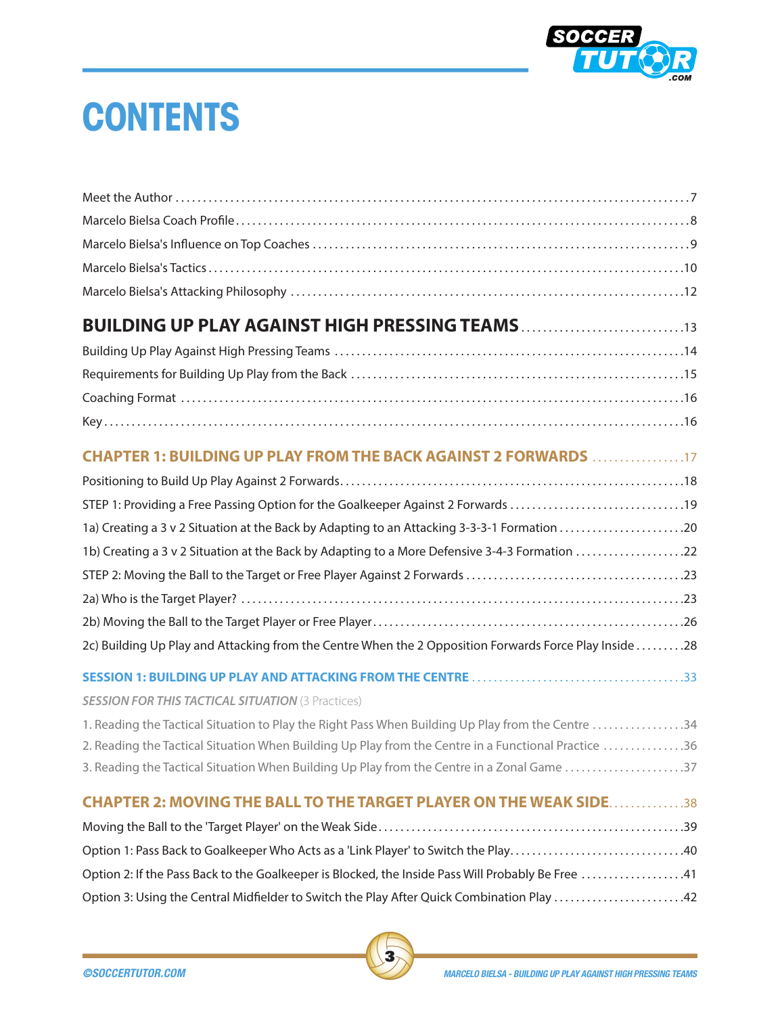

## **CONTENTS**

| <b>BUILDING UP PLAY AGAINST HIGH PRESSING TEAMS13</b>                                                  |
|--------------------------------------------------------------------------------------------------------|
|                                                                                                        |
|                                                                                                        |
|                                                                                                        |
|                                                                                                        |
| <b>CHAPTER 1: BUILDING UP PLAY FROM THE BACK AGAINST 2 FORWARDS 17</b>                                 |
|                                                                                                        |
| STEP 1: Providing a Free Passing Option for the Goalkeeper Against 2 Forwards 19                       |
|                                                                                                        |
| 1b) Creating a 3 v 2 Situation at the Back by Adapting to a More Defensive 3-4-3 Formation 22          |
|                                                                                                        |
|                                                                                                        |
|                                                                                                        |
| 2c) Building Up Play and Attacking from the Centre When the 2 Opposition Forwards Force Play Inside 28 |
|                                                                                                        |
| <b>SESSION FOR THIS TACTICAL SITUATION (3 Practices)</b>                                               |
| 1. Reading the Tactical Situation to Play the Right Pass When Building Up Play from the Centre 34      |
| 2. Reading the Tactical Situation When Building Up Play from the Centre in a Functional Practice 36    |
| 3. Reading the Tactical Situation When Building Up Play from the Centre in a Zonal Game 37             |
| <b>CHAPTER 2: MOVING THE BALL TO THE TARGET PLAYER ON THE WEAK SIDE38</b>                              |
|                                                                                                        |
|                                                                                                        |
| Option 2: If the Pass Back to the Goalkeeper is Blocked, the Inside Pass Will Probably Be Free 41      |
| Option 3: Using the Central Midfielder to Switch the Play After Quick Combination Play 42              |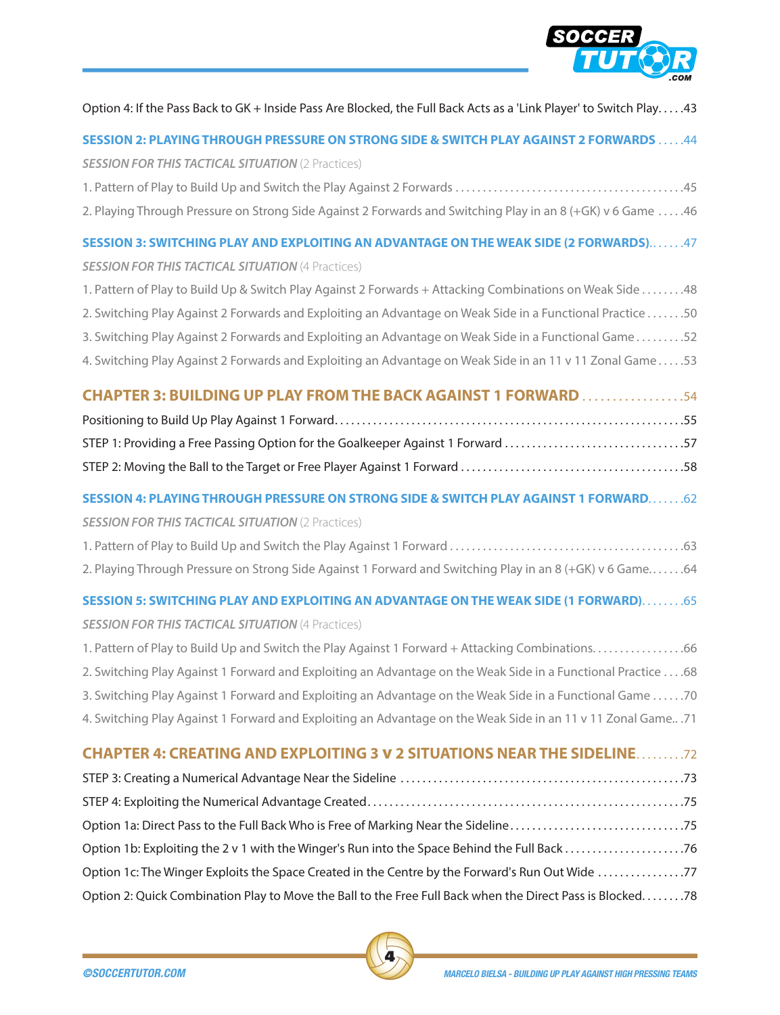

| Option 4: If the Pass Back to GK + Inside Pass Are Blocked, the Full Back Acts as a 'Link Player' to Switch Play43 |
|--------------------------------------------------------------------------------------------------------------------|
| <b>SESSION 2: PLAYING THROUGH PRESSURE ON STRONG SIDE &amp; SWITCH PLAY AGAINST 2 FORWARDS  44</b>                 |
| <b>SESSION FOR THIS TACTICAL SITUATION (2 Practices)</b>                                                           |
|                                                                                                                    |
| 2. Playing Through Pressure on Strong Side Against 2 Forwards and Switching Play in an 8 (+GK) v 6 Game 46         |
| SESSION 3: SWITCHING PLAY AND EXPLOITING AN ADVANTAGE ON THE WEAK SIDE (2 FORWARDS)47                              |
| <b>SESSION FOR THIS TACTICAL SITUATION (4 Practices)</b>                                                           |
| 1. Pattern of Play to Build Up & Switch Play Against 2 Forwards + Attacking Combinations on Weak Side 48           |
| 2. Switching Play Against 2 Forwards and Exploiting an Advantage on Weak Side in a Functional Practice 50          |
| 3. Switching Play Against 2 Forwards and Exploiting an Advantage on Weak Side in a Functional Game52               |
| 4. Switching Play Against 2 Forwards and Exploiting an Advantage on Weak Side in an 11 v 11 Zonal Game53           |
| <b>CHAPTER 3: BUILDING UP PLAY FROM THE BACK AGAINST 1 FORWARD 54</b>                                              |
|                                                                                                                    |
| STEP 1: Providing a Free Passing Option for the Goalkeeper Against 1 Forward 57                                    |
|                                                                                                                    |
| SESSION 4: PLAYING THROUGH PRESSURE ON STRONG SIDE & SWITCH PLAY AGAINST 1 FORWARD 62                              |
| <b>SESSION FOR THIS TACTICAL SITUATION (2 Practices)</b>                                                           |
|                                                                                                                    |
| 2. Playing Through Pressure on Strong Side Against 1 Forward and Switching Play in an 8 (+GK) v 6 Game64           |
| SESSION 5: SWITCHING PLAY AND EXPLOITING AN ADVANTAGE ON THE WEAK SIDE (1 FORWARD)65                               |
| <b>SESSION FOR THIS TACTICAL SITUATION (4 Practices)</b>                                                           |
| 1. Pattern of Play to Build Up and Switch the Play Against 1 Forward + Attacking Combinations66                    |
| 2. Switching Play Against 1 Forward and Exploiting an Advantage on the Weak Side in a Functional Practice  68      |
| 3. Switching Play Against 1 Forward and Exploiting an Advantage on the Weak Side in a Functional Game 70           |
| 4. Switching Play Against 1 Forward and Exploiting an Advantage on the Weak Side in an 11 v 11 Zonal Game .71      |
| <b>CHAPTER 4: CREATING AND EXPLOITING 3 V 2 SITUATIONS NEAR THE SIDELINE72</b>                                     |
|                                                                                                                    |

STEP 4: Exploiting the Numerical Advantage Created . . . . . . . . . . . . . . . . . . . . . . . . . . . . . . . . . . . . . . . . . . . . . . . . . . . . . . . . . 75 Option 1a: Direct Pass to the Full Back Who is Free of Marking Near the Sideline . . . . . . . . . . . . . . . . . . . . . . . . . . . . . . . 75 Option 1b: Exploiting the 2 v 1 with the Winger's Run into the Space Behind the Full Back . . . . . . . . . . . . . . . . . . . . . 76 Option 1c: The Winger Exploits the Space Created in the Centre by the Forward's Run Out Wide . . . . . . . . . . . . . . . 77 Option 2: Quick Combination Play to Move the Ball to the Free Full Back when the Direct Pass is Blocked . . . . . . . 78

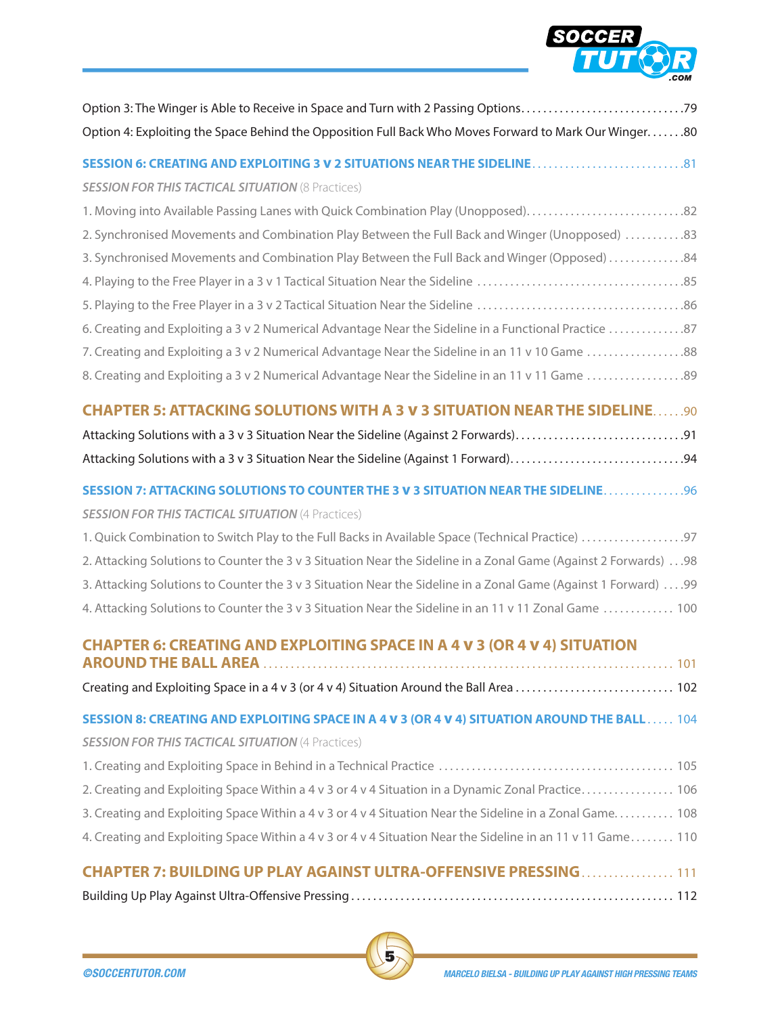

| Option 4: Exploiting the Space Behind the Opposition Full Back Who Moves Forward to Mark Our Winger80            |
|------------------------------------------------------------------------------------------------------------------|
|                                                                                                                  |
| <b>SESSION FOR THIS TACTICAL SITUATION (8 Practices)</b>                                                         |
| 1. Moving into Available Passing Lanes with Quick Combination Play (Unopposed)                                   |
| 2. Synchronised Movements and Combination Play Between the Full Back and Winger (Unopposed) 83                   |
| 3. Synchronised Movements and Combination Play Between the Full Back and Winger (Opposed) 84                     |
|                                                                                                                  |
|                                                                                                                  |
| 6. Creating and Exploiting a 3 v 2 Numerical Advantage Near the Sideline in a Functional Practice 87             |
| 7. Creating and Exploiting a 3 v 2 Numerical Advantage Near the Sideline in an 11 v 10 Game 88                   |
| 8. Creating and Exploiting a 3 v 2 Numerical Advantage Near the Sideline in an 11 v 11 Game 89                   |
| <b>CHAPTER 5: ATTACKING SOLUTIONS WITH A 3 V 3 SITUATION NEAR THE SIDELINE90</b>                                 |
| Attacking Solutions with a 3 v 3 Situation Near the Sideline (Against 2 Forwards)91                              |
| Attacking Solutions with a 3 v 3 Situation Near the Sideline (Against 1 Forward)94                               |
| SESSION 7: ATTACKING SOLUTIONS TO COUNTER THE 3 V 3 SITUATION NEAR THE SIDELINE. 96                              |
| <b>SESSION FOR THIS TACTICAL SITUATION (4 Practices)</b>                                                         |
| 1. Quick Combination to Switch Play to the Full Backs in Available Space (Technical Practice) 97                 |
| 2. Attacking Solutions to Counter the 3 v 3 Situation Near the Sideline in a Zonal Game (Against 2 Forwards)  98 |
| 3. Attacking Solutions to Counter the 3 v 3 Situation Near the Sideline in a Zonal Game (Against 1 Forward)  .99 |
| 4. Attacking Solutions to Counter the 3 v 3 Situation Near the Sideline in an 11 v 11 Zonal Game  100            |
| <b>CHAPTER 6: CREATING AND EXPLOITING SPACE IN A 4 V 3 (OR 4 V 4) SITUATION</b>                                  |
|                                                                                                                  |
|                                                                                                                  |
| SESSION 8: CREATING AND EXPLOITING SPACE IN A 4 V 3 (OR 4 V 4) SITUATION AROUND THE BALL 104                     |
| <b>SESSION FOR THIS TACTICAL SITUATION (4 Practices)</b>                                                         |
|                                                                                                                  |
| 2. Creating and Exploiting Space Within a 4 v 3 or 4 v 4 Situation in a Dynamic Zonal Practice 106               |
| 3. Creating and Exploiting Space Within a 4 v 3 or 4 v 4 Situation Near the Sideline in a Zonal Game 108         |
| 4. Creating and Exploiting Space Within a 4 v 3 or 4 v 4 Situation Near the Sideline in an 11 v 11 Game 110      |
| <b>CHAPTER 7: BUILDING UP PLAY AGAINST ULTRA-OFFENSIVE PRESSING 111</b>                                          |
|                                                                                                                  |